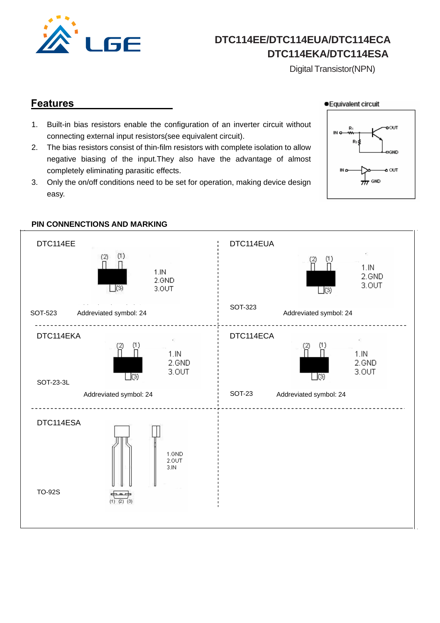

 **DTC114EE/DTC114EUA/DTC114ECA DTC114EKA/DTC114ESA**

Digital Transistor(NPN)

### **Features**

● Equivalent circuit

- 1. Built-in bias resistors enable the configuration of an inverter circuit without connecting external input resistors(see equivalent circuit).
- 2. The bias resistors consist of thin-film resistors with complete isolation to allow negative biasing of the input.They also have the advantage of almost completely eliminating parasitic effects.
- 3. Only the on/off conditions need to be set for operation, making device design easy.





### **PIN CONNENCTIONS AND MARKING**